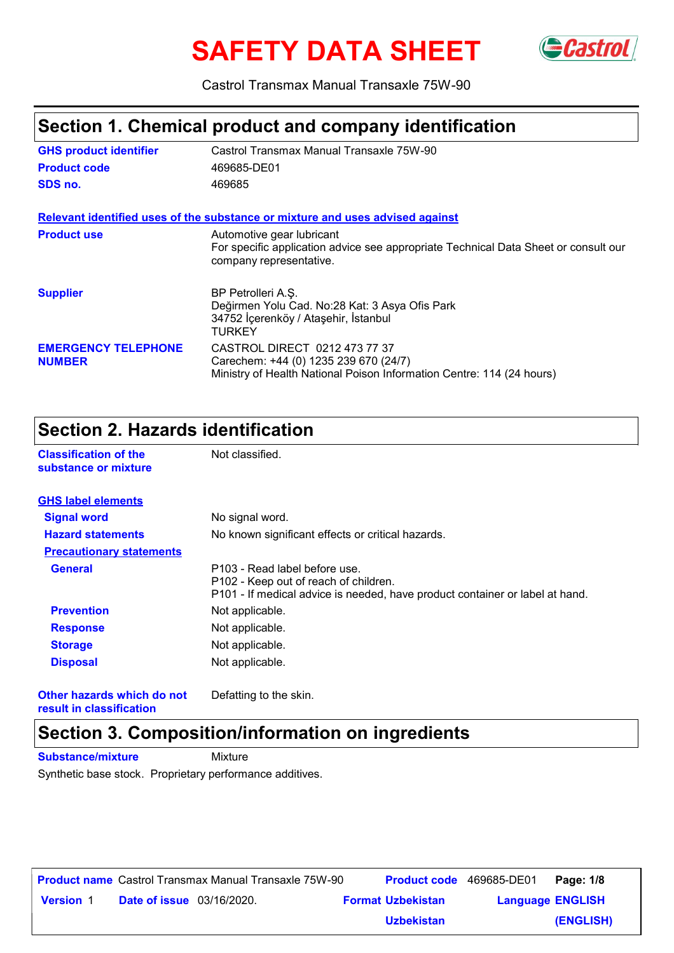# **SAFETY DATA SHEET**



Castrol Transmax Manual Transaxle 75W-90

### **Section 1. Chemical product and company identification**

| <b>GHS product identifier</b>               | Castrol Transmax Manual Transaxle 75W-90                                                                                                        |
|---------------------------------------------|-------------------------------------------------------------------------------------------------------------------------------------------------|
| <b>Product code</b>                         | 469685-DE01                                                                                                                                     |
| SDS no.                                     | 469685                                                                                                                                          |
|                                             | Relevant identified uses of the substance or mixture and uses advised against                                                                   |
| <b>Product use</b>                          | Automotive gear lubricant<br>For specific application advice see appropriate Technical Data Sheet or consult our<br>company representative.     |
| <b>Supplier</b>                             | BP Petrolleri A.S.<br>Değirmen Yolu Cad. No:28 Kat: 3 Asya Ofis Park<br>34752 İçerenköy / Ataşehir, İstanbul<br>TURKEY                          |
| <b>EMERGENCY TELEPHONE</b><br><b>NUMBER</b> | CASTROL DIRECT 0212 473 77 37<br>Carechem: +44 (0) 1235 239 670 (24/7)<br>Ministry of Health National Poison Information Centre: 114 (24 hours) |

#### **Section 2. Hazards identification**

**Classification of the Mot classified.** 

| substance or mixture            |                                                                                                                                                        |
|---------------------------------|--------------------------------------------------------------------------------------------------------------------------------------------------------|
| <b>GHS label elements</b>       |                                                                                                                                                        |
| <b>Signal word</b>              | No signal word.                                                                                                                                        |
| <b>Hazard statements</b>        | No known significant effects or critical hazards.                                                                                                      |
| <b>Precautionary statements</b> |                                                                                                                                                        |
| <b>General</b>                  | P103 - Read label before use.<br>P102 - Keep out of reach of children.<br>P101 - If medical advice is needed, have product container or label at hand. |
| <b>Prevention</b>               | Not applicable.                                                                                                                                        |
| <b>Response</b>                 | Not applicable.                                                                                                                                        |
| <b>Storage</b>                  | Not applicable.                                                                                                                                        |
| <b>Disposal</b>                 | Not applicable.                                                                                                                                        |
|                                 |                                                                                                                                                        |

**Other hazards which do not result in classification**

Defatting to the skin.

### **Section 3. Composition/information on ingredients**

**Substance/mixture Mixture** 

Synthetic base stock. Proprietary performance additives.

|                  |                                  | <b>Product name</b> Castrol Transmax Manual Transaxle 75W-90 | <b>Product code</b> 469685-DE01 |                         | Page: 1/8 |
|------------------|----------------------------------|--------------------------------------------------------------|---------------------------------|-------------------------|-----------|
| <b>Version 1</b> | <b>Date of issue</b> 03/16/2020. |                                                              | <b>Format Uzbekistan</b>        | <b>Language ENGLISH</b> |           |
|                  |                                  |                                                              | <b>Uzbekistan</b>               |                         | (ENGLISH) |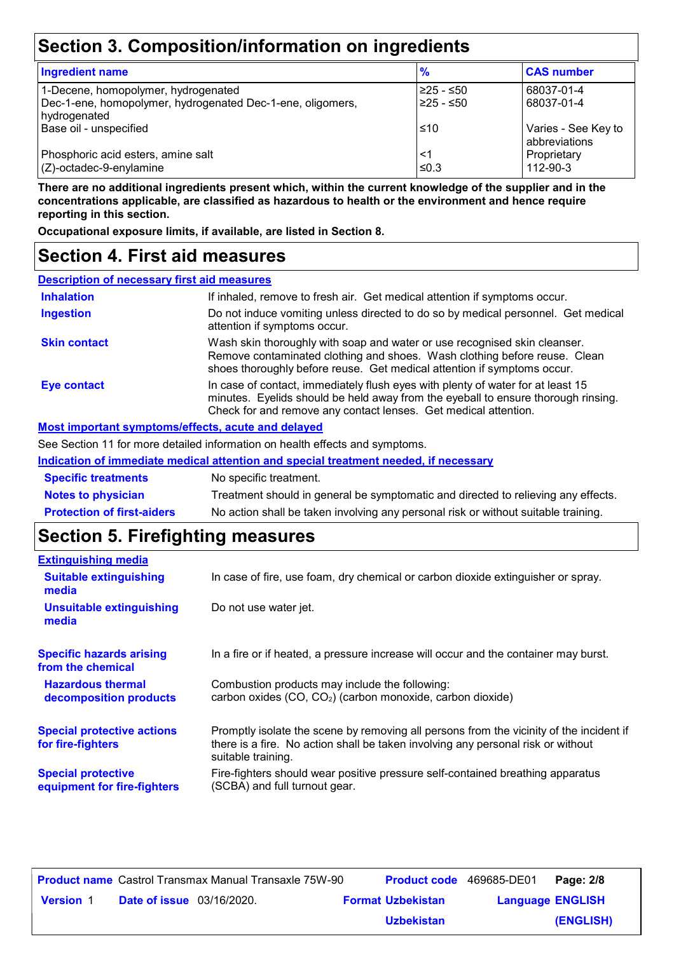# **Section 3. Composition/information on ingredients**

| <b>Ingredient name</b>                                                     | %          | <b>CAS number</b>                    |
|----------------------------------------------------------------------------|------------|--------------------------------------|
| 1-Decene, homopolymer, hydrogenated                                        | 225 - ≤50  | 68037-01-4                           |
| Dec-1-ene, homopolymer, hydrogenated Dec-1-ene, oligomers,<br>hydrogenated | 225 - ≤50  | 68037-01-4                           |
| Base oil - unspecified                                                     | ≤10        | Varies - See Key to<br>abbreviations |
| Phosphoric acid esters, amine salt<br>$(Z)$ -octadec-9-enylamine           | <1<br>≤0.3 | Proprietary<br>112-90-3              |

**There are no additional ingredients present which, within the current knowledge of the supplier and in the concentrations applicable, are classified as hazardous to health or the environment and hence require reporting in this section.**

**Occupational exposure limits, if available, are listed in Section 8.**

#### **Section 4. First aid measures**

| <b>Description of necessary first aid measures</b> |                                                                                                                                                                                                                                         |
|----------------------------------------------------|-----------------------------------------------------------------------------------------------------------------------------------------------------------------------------------------------------------------------------------------|
| <b>Inhalation</b>                                  | If inhaled, remove to fresh air. Get medical attention if symptoms occur.                                                                                                                                                               |
| <b>Ingestion</b>                                   | Do not induce vomiting unless directed to do so by medical personnel. Get medical<br>attention if symptoms occur.                                                                                                                       |
| <b>Skin contact</b>                                | Wash skin thoroughly with soap and water or use recognised skin cleanser.<br>Remove contaminated clothing and shoes. Wash clothing before reuse. Clean<br>shoes thoroughly before reuse. Get medical attention if symptoms occur.       |
| Eye contact                                        | In case of contact, immediately flush eyes with plenty of water for at least 15<br>minutes. Eyelids should be held away from the eyeball to ensure thorough rinsing.<br>Check for and remove any contact lenses. Get medical attention. |
| Most important symptoms/effects, acute and delayed |                                                                                                                                                                                                                                         |

See Section 11 for more detailed information on health effects and symptoms.

| Indication of immediate medical attention and special treatment needed, if necessary |                                                                                    |  |
|--------------------------------------------------------------------------------------|------------------------------------------------------------------------------------|--|
| <b>Specific treatments</b>                                                           | No specific treatment.                                                             |  |
| <b>Notes to physician</b>                                                            | Treatment should in general be symptomatic and directed to relieving any effects.  |  |
| <b>Protection of first-aiders</b>                                                    | No action shall be taken involving any personal risk or without suitable training. |  |

# **Section 5. Firefighting measures**

| <b>Extinguishing media</b>                               |                                                                                                                                                                                                   |
|----------------------------------------------------------|---------------------------------------------------------------------------------------------------------------------------------------------------------------------------------------------------|
| <b>Suitable extinguishing</b><br>media                   | In case of fire, use foam, dry chemical or carbon dioxide extinguisher or spray.                                                                                                                  |
| <b>Unsuitable extinguishing</b><br>media                 | Do not use water jet.                                                                                                                                                                             |
| <b>Specific hazards arising</b><br>from the chemical     | In a fire or if heated, a pressure increase will occur and the container may burst.                                                                                                               |
| <b>Hazardous thermal</b><br>decomposition products       | Combustion products may include the following:<br>carbon oxides (CO, CO <sub>2</sub> ) (carbon monoxide, carbon dioxide)                                                                          |
| <b>Special protective actions</b><br>for fire-fighters   | Promptly isolate the scene by removing all persons from the vicinity of the incident if<br>there is a fire. No action shall be taken involving any personal risk or without<br>suitable training. |
| <b>Special protective</b><br>equipment for fire-fighters | Fire-fighters should wear positive pressure self-contained breathing apparatus<br>(SCBA) and full turnout gear.                                                                                   |

|                  |                                  | <b>Product name</b> Castrol Transmax Manual Transaxle 75W-90 | <b>Product code</b> 469685-DE01 |                         | Page: 2/8 |
|------------------|----------------------------------|--------------------------------------------------------------|---------------------------------|-------------------------|-----------|
| <b>Version 1</b> | <b>Date of issue</b> 03/16/2020. |                                                              | <b>Format Uzbekistan</b>        | <b>Language ENGLISH</b> |           |
|                  |                                  |                                                              | <b>Uzbekistan</b>               |                         | (ENGLISH) |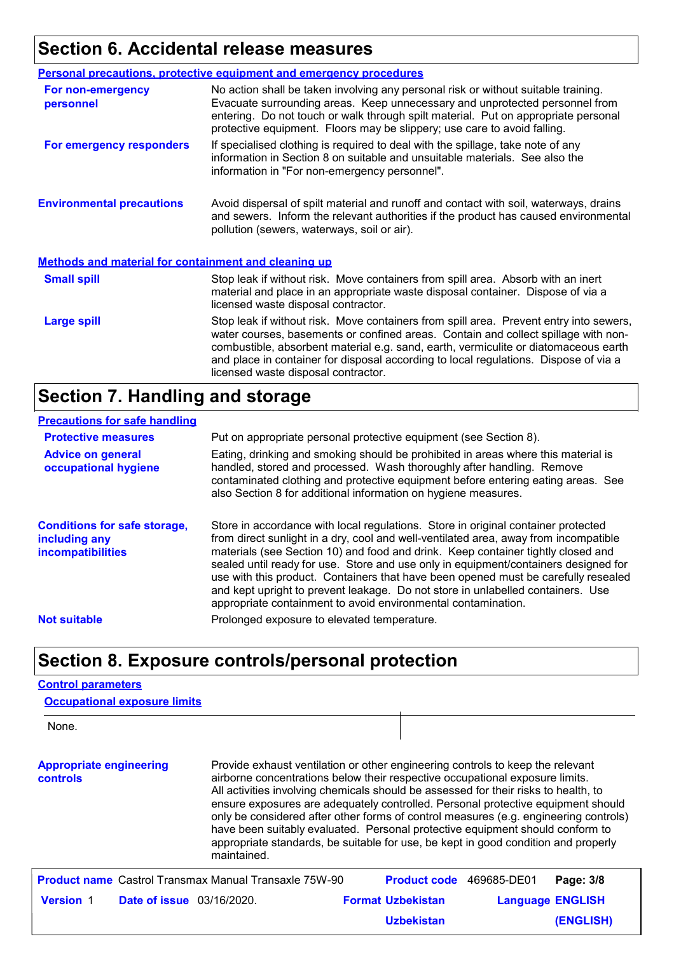# **Section 6. Accidental release measures**

|                                                             | <b>Personal precautions, protective equipment and emergency procedures</b>                                                                                                                                                                                                                                                                                                                         |
|-------------------------------------------------------------|----------------------------------------------------------------------------------------------------------------------------------------------------------------------------------------------------------------------------------------------------------------------------------------------------------------------------------------------------------------------------------------------------|
| For non-emergency<br>personnel                              | No action shall be taken involving any personal risk or without suitable training.<br>Evacuate surrounding areas. Keep unnecessary and unprotected personnel from<br>entering. Do not touch or walk through spilt material. Put on appropriate personal<br>protective equipment. Floors may be slippery; use care to avoid falling.                                                                |
| For emergency responders                                    | If specialised clothing is required to deal with the spillage, take note of any<br>information in Section 8 on suitable and unsuitable materials. See also the<br>information in "For non-emergency personnel".                                                                                                                                                                                    |
| <b>Environmental precautions</b>                            | Avoid dispersal of spilt material and runoff and contact with soil, waterways, drains<br>and sewers. Inform the relevant authorities if the product has caused environmental<br>pollution (sewers, waterways, soil or air).                                                                                                                                                                        |
| <b>Methods and material for containment and cleaning up</b> |                                                                                                                                                                                                                                                                                                                                                                                                    |
| <b>Small spill</b>                                          | Stop leak if without risk. Move containers from spill area. Absorb with an inert<br>material and place in an appropriate waste disposal container. Dispose of via a<br>licensed waste disposal contractor.                                                                                                                                                                                         |
| <b>Large spill</b>                                          | Stop leak if without risk. Move containers from spill area. Prevent entry into sewers,<br>water courses, basements or confined areas. Contain and collect spillage with non-<br>combustible, absorbent material e.g. sand, earth, vermiculite or diatomaceous earth<br>and place in container for disposal according to local regulations. Dispose of via a<br>licensed waste disposal contractor. |

# **Section 7. Handling and storage**

#### **Precautions for safe handling**

| <b>Protective measures</b>                                                       | Put on appropriate personal protective equipment (see Section 8).                                                                                                                                                                                                                                                                                                                                                                                                                                                                                                                              |
|----------------------------------------------------------------------------------|------------------------------------------------------------------------------------------------------------------------------------------------------------------------------------------------------------------------------------------------------------------------------------------------------------------------------------------------------------------------------------------------------------------------------------------------------------------------------------------------------------------------------------------------------------------------------------------------|
| <b>Advice on general</b><br>occupational hygiene                                 | Eating, drinking and smoking should be prohibited in areas where this material is<br>handled, stored and processed. Wash thoroughly after handling. Remove<br>contaminated clothing and protective equipment before entering eating areas. See<br>also Section 8 for additional information on hygiene measures.                                                                                                                                                                                                                                                                               |
| <b>Conditions for safe storage,</b><br>including any<br><b>incompatibilities</b> | Store in accordance with local regulations. Store in original container protected<br>from direct sunlight in a dry, cool and well-ventilated area, away from incompatible<br>materials (see Section 10) and food and drink. Keep container tightly closed and<br>sealed until ready for use. Store and use only in equipment/containers designed for<br>use with this product. Containers that have been opened must be carefully resealed<br>and kept upright to prevent leakage. Do not store in unlabelled containers. Use<br>appropriate containment to avoid environmental contamination. |
| <b>Not suitable</b>                                                              | Prolonged exposure to elevated temperature.                                                                                                                                                                                                                                                                                                                                                                                                                                                                                                                                                    |

## **Section 8. Exposure controls/personal protection**

#### **Control parameters**

| <b>Occupational exposure limits</b>                          |                                                                                                                                                                                                                                                                                                                                                                                                                                                                                                                                                                                                                         |                          |             |                         |
|--------------------------------------------------------------|-------------------------------------------------------------------------------------------------------------------------------------------------------------------------------------------------------------------------------------------------------------------------------------------------------------------------------------------------------------------------------------------------------------------------------------------------------------------------------------------------------------------------------------------------------------------------------------------------------------------------|--------------------------|-------------|-------------------------|
| None.                                                        |                                                                                                                                                                                                                                                                                                                                                                                                                                                                                                                                                                                                                         |                          |             |                         |
| <b>Appropriate engineering</b><br><b>controls</b>            | Provide exhaust ventilation or other engineering controls to keep the relevant<br>airborne concentrations below their respective occupational exposure limits.<br>All activities involving chemicals should be assessed for their risks to health, to<br>ensure exposures are adequately controlled. Personal protective equipment should<br>only be considered after other forms of control measures (e.g. engineering controls)<br>have been suitably evaluated. Personal protective equipment should conform to<br>appropriate standards, be suitable for use, be kept in good condition and properly<br>maintained. |                          |             |                         |
| <b>Product name</b> Castrol Transmax Manual Transaxle 75W-90 |                                                                                                                                                                                                                                                                                                                                                                                                                                                                                                                                                                                                                         | <b>Product code</b>      | 469685-DE01 | Page: 3/8               |
| <b>Version 1</b><br><b>Date of issue</b> 03/16/2020.         |                                                                                                                                                                                                                                                                                                                                                                                                                                                                                                                                                                                                                         | <b>Format Uzbekistan</b> |             | <b>Language ENGLISH</b> |
|                                                              |                                                                                                                                                                                                                                                                                                                                                                                                                                                                                                                                                                                                                         | <b>Uzbekistan</b>        |             | <b>(ENGLISH)</b>        |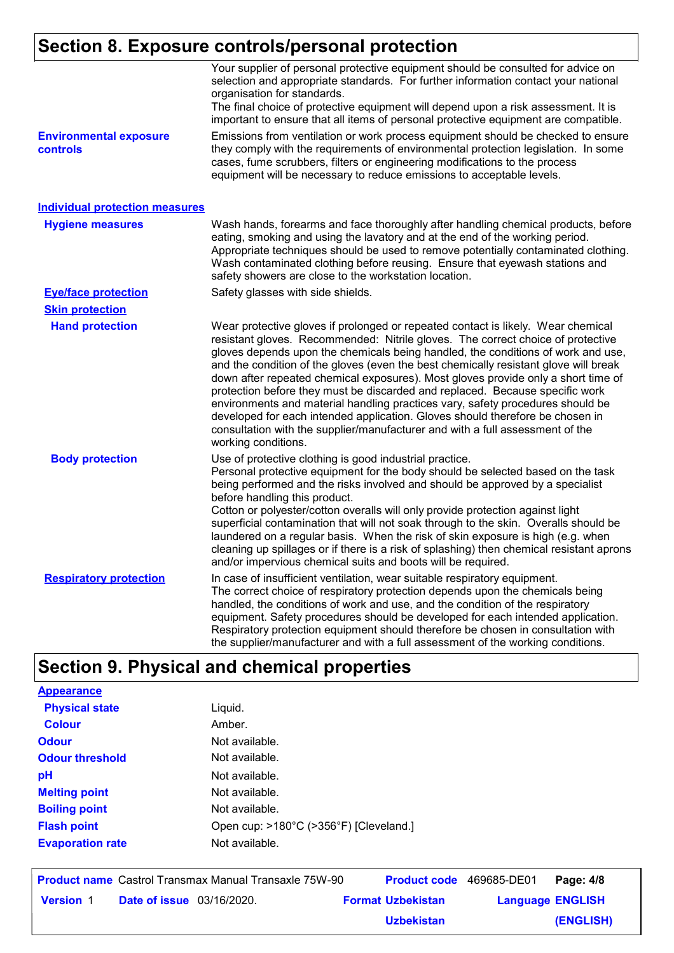### **Section 8. Exposure controls/personal protection**

|                                           | Your supplier of personal protective equipment should be consulted for advice on<br>selection and appropriate standards. For further information contact your national<br>organisation for standards.<br>The final choice of protective equipment will depend upon a risk assessment. It is<br>important to ensure that all items of personal protective equipment are compatible.                                                                                                                                                                                                                                                                                                                                                                                                              |
|-------------------------------------------|-------------------------------------------------------------------------------------------------------------------------------------------------------------------------------------------------------------------------------------------------------------------------------------------------------------------------------------------------------------------------------------------------------------------------------------------------------------------------------------------------------------------------------------------------------------------------------------------------------------------------------------------------------------------------------------------------------------------------------------------------------------------------------------------------|
| <b>Environmental exposure</b><br>controls | Emissions from ventilation or work process equipment should be checked to ensure<br>they comply with the requirements of environmental protection legislation. In some<br>cases, fume scrubbers, filters or engineering modifications to the process<br>equipment will be necessary to reduce emissions to acceptable levels.                                                                                                                                                                                                                                                                                                                                                                                                                                                                   |
| <b>Individual protection measures</b>     |                                                                                                                                                                                                                                                                                                                                                                                                                                                                                                                                                                                                                                                                                                                                                                                                 |
| <b>Hygiene measures</b>                   | Wash hands, forearms and face thoroughly after handling chemical products, before<br>eating, smoking and using the lavatory and at the end of the working period.<br>Appropriate techniques should be used to remove potentially contaminated clothing.<br>Wash contaminated clothing before reusing. Ensure that eyewash stations and<br>safety showers are close to the workstation location.                                                                                                                                                                                                                                                                                                                                                                                                 |
| <b>Eye/face protection</b>                | Safety glasses with side shields.                                                                                                                                                                                                                                                                                                                                                                                                                                                                                                                                                                                                                                                                                                                                                               |
| <b>Skin protection</b>                    |                                                                                                                                                                                                                                                                                                                                                                                                                                                                                                                                                                                                                                                                                                                                                                                                 |
| <b>Hand protection</b>                    | Wear protective gloves if prolonged or repeated contact is likely. Wear chemical<br>resistant gloves. Recommended: Nitrile gloves. The correct choice of protective<br>gloves depends upon the chemicals being handled, the conditions of work and use,<br>and the condition of the gloves (even the best chemically resistant glove will break<br>down after repeated chemical exposures). Most gloves provide only a short time of<br>protection before they must be discarded and replaced. Because specific work<br>environments and material handling practices vary, safety procedures should be<br>developed for each intended application. Gloves should therefore be chosen in<br>consultation with the supplier/manufacturer and with a full assessment of the<br>working conditions. |
| <b>Body protection</b>                    | Use of protective clothing is good industrial practice.<br>Personal protective equipment for the body should be selected based on the task<br>being performed and the risks involved and should be approved by a specialist<br>before handling this product.<br>Cotton or polyester/cotton overalls will only provide protection against light<br>superficial contamination that will not soak through to the skin. Overalls should be<br>laundered on a regular basis. When the risk of skin exposure is high (e.g. when<br>cleaning up spillages or if there is a risk of splashing) then chemical resistant aprons<br>and/or impervious chemical suits and boots will be required.                                                                                                           |
| <b>Respiratory protection</b>             | In case of insufficient ventilation, wear suitable respiratory equipment.<br>The correct choice of respiratory protection depends upon the chemicals being<br>handled, the conditions of work and use, and the condition of the respiratory<br>equipment. Safety procedures should be developed for each intended application.<br>Respiratory protection equipment should therefore be chosen in consultation with<br>the supplier/manufacturer and with a full assessment of the working conditions.                                                                                                                                                                                                                                                                                           |

# **Section 9. Physical and chemical properties**

| <b>Appearance</b>       |                                        |
|-------------------------|----------------------------------------|
| <b>Physical state</b>   | Liquid.                                |
| <b>Colour</b>           | Amber.                                 |
| <b>Odour</b>            | Not available.                         |
| <b>Odour threshold</b>  | Not available.                         |
| рH                      | Not available.                         |
| <b>Melting point</b>    | Not available.                         |
| <b>Boiling point</b>    | Not available.                         |
| <b>Flash point</b>      | Open cup: >180°C (>356°F) [Cleveland.] |
| <b>Evaporation rate</b> | Not available.                         |
|                         |                                        |

**Date of issue** 03/16/2020. **Version** 1 **Format Uzbekistan Language Product name** Castrol Transmax Manual Transaxle 75W-90 **Product code** 469685-DE01 **Page: 4/8** | **Language ENGLISH (ENGLISH)** Product code 469685-DE01 Page: 4/8 **Uzbekistan**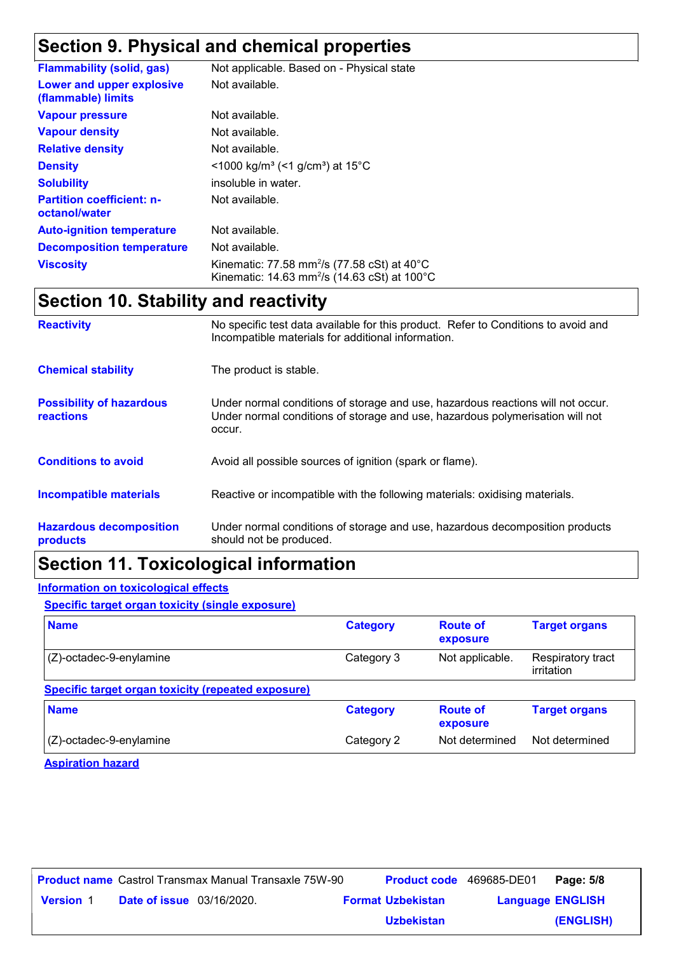# **Section 9. Physical and chemical properties**

| <b>Flammability (solid, gas)</b>                  | Not applicable. Based on - Physical state                                                                                      |
|---------------------------------------------------|--------------------------------------------------------------------------------------------------------------------------------|
| Lower and upper explosive<br>(flammable) limits   | Not available.                                                                                                                 |
| <b>Vapour pressure</b>                            | Not available.                                                                                                                 |
| <b>Vapour density</b>                             | Not available.                                                                                                                 |
| <b>Relative density</b>                           | Not available.                                                                                                                 |
| <b>Density</b>                                    | <1000 kg/m <sup>3</sup> (<1 g/cm <sup>3</sup> ) at 15 <sup>°</sup> C                                                           |
| <b>Solubility</b>                                 | insoluble in water.                                                                                                            |
| <b>Partition coefficient: n-</b><br>octanol/water | Not available.                                                                                                                 |
| <b>Auto-ignition temperature</b>                  | Not available.                                                                                                                 |
| <b>Decomposition temperature</b>                  | Not available.                                                                                                                 |
| <b>Viscosity</b>                                  | Kinematic: 77.58 mm <sup>2</sup> /s (77.58 cSt) at 40°C<br>Kinematic: 14.63 mm <sup>2</sup> /s (14.63 cSt) at 100 $^{\circ}$ C |

# **Section 10. Stability and reactivity**

| <b>Reactivity</b>                                   | No specific test data available for this product. Refer to Conditions to avoid and<br>Incompatible materials for additional information.                                   |  |
|-----------------------------------------------------|----------------------------------------------------------------------------------------------------------------------------------------------------------------------------|--|
| <b>Chemical stability</b>                           | The product is stable.                                                                                                                                                     |  |
| <b>Possibility of hazardous</b><br><b>reactions</b> | Under normal conditions of storage and use, hazardous reactions will not occur.<br>Under normal conditions of storage and use, hazardous polymerisation will not<br>occur. |  |
| <b>Conditions to avoid</b>                          | Avoid all possible sources of ignition (spark or flame).                                                                                                                   |  |
| <b>Incompatible materials</b>                       | Reactive or incompatible with the following materials: oxidising materials.                                                                                                |  |
| <b>Hazardous decomposition</b><br>products          | Under normal conditions of storage and use, hazardous decomposition products<br>should not be produced.                                                                    |  |

# **Section 11. Toxicological information**

#### **Information on toxicological effects**

**Specific target organ toxicity (single exposure)**

| <b>Name</b>                                        | <b>Category</b> | <b>Route of</b><br>exposure | <b>Target organs</b>            |
|----------------------------------------------------|-----------------|-----------------------------|---------------------------------|
| $(Z)$ -octadec-9-enylamine                         | Category 3      | Not applicable.             | Respiratory tract<br>irritation |
| Specific target organ toxicity (repeated exposure) |                 |                             |                                 |
| <b>Name</b>                                        | <b>Category</b> | <b>Route of</b><br>exposure | <b>Target organs</b>            |
| $(Z)$ -octadec-9-enylamine                         | Category 2      | Not determined              | Not determined                  |

**Aspiration hazard**

|                  |                                  | <b>Product name</b> Castrol Transmax Manual Transaxle 75W-90 | <b>Product code</b> 469685-DE01 |                         | Page: 5/8 |
|------------------|----------------------------------|--------------------------------------------------------------|---------------------------------|-------------------------|-----------|
| <b>Version 1</b> | <b>Date of issue</b> 03/16/2020. |                                                              | <b>Format Uzbekistan</b>        | <b>Language ENGLISH</b> |           |
|                  |                                  |                                                              | <b>Uzbekistan</b>               |                         | (ENGLISH) |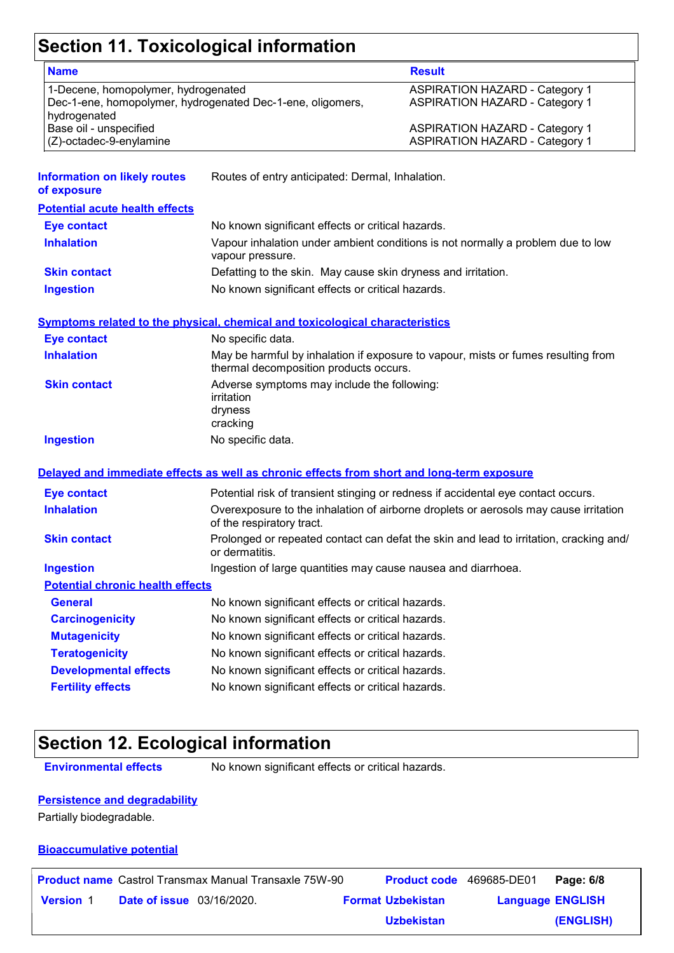# **Section 11. Toxicological information**

| <b>Name</b>                                                                                                       |                                                                                                                             | <b>Result</b>                                                                          |  |  |
|-------------------------------------------------------------------------------------------------------------------|-----------------------------------------------------------------------------------------------------------------------------|----------------------------------------------------------------------------------------|--|--|
| 1-Decene, homopolymer, hydrogenated<br>Dec-1-ene, homopolymer, hydrogenated Dec-1-ene, oligomers,<br>hydrogenated |                                                                                                                             | <b>ASPIRATION HAZARD - Category 1</b><br><b>ASPIRATION HAZARD - Category 1</b>         |  |  |
| Base oil - unspecified<br>(Z)-octadec-9-enylamine                                                                 |                                                                                                                             | <b>ASPIRATION HAZARD - Category 1</b><br><b>ASPIRATION HAZARD - Category 1</b>         |  |  |
| <b>Information on likely routes</b><br>of exposure                                                                | Routes of entry anticipated: Dermal, Inhalation.                                                                            |                                                                                        |  |  |
| <b>Potential acute health effects</b>                                                                             |                                                                                                                             |                                                                                        |  |  |
| <b>Eye contact</b>                                                                                                | No known significant effects or critical hazards.                                                                           |                                                                                        |  |  |
| <b>Inhalation</b>                                                                                                 | vapour pressure.                                                                                                            | Vapour inhalation under ambient conditions is not normally a problem due to low        |  |  |
| <b>Skin contact</b>                                                                                               | Defatting to the skin. May cause skin dryness and irritation.                                                               |                                                                                        |  |  |
| <b>Ingestion</b>                                                                                                  | No known significant effects or critical hazards.                                                                           |                                                                                        |  |  |
|                                                                                                                   | <b>Symptoms related to the physical, chemical and toxicological characteristics</b>                                         |                                                                                        |  |  |
| <b>Eye contact</b>                                                                                                | No specific data.                                                                                                           |                                                                                        |  |  |
| <b>Inhalation</b>                                                                                                 | May be harmful by inhalation if exposure to vapour, mists or fumes resulting from<br>thermal decomposition products occurs. |                                                                                        |  |  |
| <b>Skin contact</b>                                                                                               | Adverse symptoms may include the following:<br>irritation<br>dryness<br>cracking                                            |                                                                                        |  |  |
| <b>Ingestion</b>                                                                                                  | No specific data.                                                                                                           |                                                                                        |  |  |
|                                                                                                                   | Delayed and immediate effects as well as chronic effects from short and long-term exposure                                  |                                                                                        |  |  |
| <b>Eye contact</b>                                                                                                |                                                                                                                             | Potential risk of transient stinging or redness if accidental eye contact occurs.      |  |  |
| <b>Inhalation</b>                                                                                                 | of the respiratory tract.                                                                                                   | Overexposure to the inhalation of airborne droplets or aerosols may cause irritation   |  |  |
| <b>Skin contact</b>                                                                                               | or dermatitis.                                                                                                              | Prolonged or repeated contact can defat the skin and lead to irritation, cracking and/ |  |  |
| <b>Ingestion</b>                                                                                                  | Ingestion of large quantities may cause nausea and diarrhoea.                                                               |                                                                                        |  |  |
| <b>Potential chronic health effects</b>                                                                           |                                                                                                                             |                                                                                        |  |  |
| <b>General</b>                                                                                                    | No known significant effects or critical hazards.                                                                           |                                                                                        |  |  |
| <b>Carcinogenicity</b>                                                                                            | No known significant effects or critical hazards.                                                                           |                                                                                        |  |  |
| <b>Mutagenicity</b>                                                                                               | No known significant effects or critical hazards.                                                                           |                                                                                        |  |  |
| <b>Teratogenicity</b>                                                                                             | No known significant effects or critical hazards.                                                                           |                                                                                        |  |  |
| <b>Developmental effects</b>                                                                                      | No known significant effects or critical hazards.                                                                           |                                                                                        |  |  |
| <b>Fertility effects</b>                                                                                          | No known significant effects or critical hazards.                                                                           |                                                                                        |  |  |
|                                                                                                                   |                                                                                                                             |                                                                                        |  |  |

# **Section 12. Ecological information**

**Environmental effects** No known significant effects or critical hazards.

#### **Persistence and degradability**

Partially biodegradable.

#### **Bioaccumulative potential**

|                  |                                  | <b>Product name</b> Castrol Transmax Manual Transaxle 75W-90 | <b>Product code</b> 469685-DE01 |                         | Page: 6/8 |
|------------------|----------------------------------|--------------------------------------------------------------|---------------------------------|-------------------------|-----------|
| <b>Version 1</b> | <b>Date of issue</b> 03/16/2020. |                                                              | <b>Format Uzbekistan</b>        | <b>Language ENGLISH</b> |           |
|                  |                                  |                                                              | <b>Uzbekistan</b>               |                         | (ENGLISH) |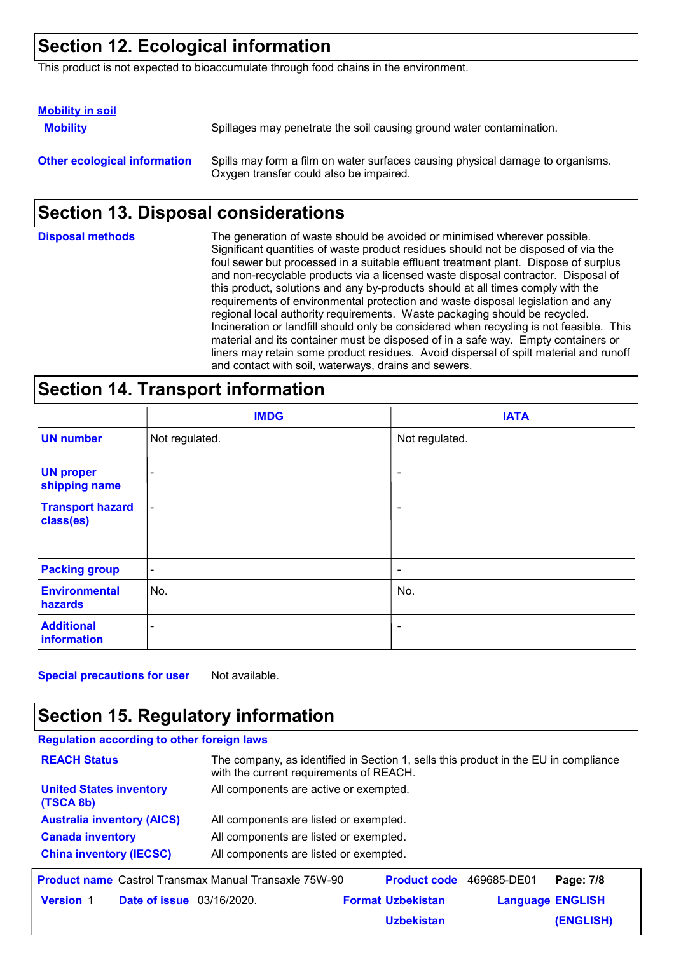# **Section 12. Ecological information**

This product is not expected to bioaccumulate through food chains in the environment.

| <b>Mobility in soil</b>             |                                                                                                                           |
|-------------------------------------|---------------------------------------------------------------------------------------------------------------------------|
| <b>Mobility</b>                     | Spillages may penetrate the soil causing ground water contamination.                                                      |
| <b>Other ecological information</b> | Spills may form a film on water surfaces causing physical damage to organisms.<br>Oxygen transfer could also be impaired. |

# **Section 13. Disposal considerations**

| <b>Disposal methods</b> | The generation of waste should be avoided or minimised wherever possible.<br>Significant quantities of waste product residues should not be disposed of via the<br>foul sewer but processed in a suitable effluent treatment plant. Dispose of surplus<br>and non-recyclable products via a licensed waste disposal contractor. Disposal of<br>this product, solutions and any by-products should at all times comply with the<br>requirements of environmental protection and waste disposal legislation and any<br>regional local authority requirements. Waste packaging should be recycled.<br>Incineration or landfill should only be considered when recycling is not feasible. This<br>material and its container must be disposed of in a safe way. Empty containers or<br>liners may retain some product residues. Avoid dispersal of spilt material and runoff |
|-------------------------|--------------------------------------------------------------------------------------------------------------------------------------------------------------------------------------------------------------------------------------------------------------------------------------------------------------------------------------------------------------------------------------------------------------------------------------------------------------------------------------------------------------------------------------------------------------------------------------------------------------------------------------------------------------------------------------------------------------------------------------------------------------------------------------------------------------------------------------------------------------------------|
|                         | and contact with soil, waterways, drains and sewers.                                                                                                                                                                                                                                                                                                                                                                                                                                                                                                                                                                                                                                                                                                                                                                                                                     |

### **Section 14. Transport information**

|                                      | <b>IMDG</b>              | <b>IATA</b>              |
|--------------------------------------|--------------------------|--------------------------|
| <b>UN number</b>                     | Not regulated.           | Not regulated.           |
| <b>UN proper</b><br>shipping name    | -                        | $\overline{\phantom{a}}$ |
| <b>Transport hazard</b><br>class(es) | $\overline{\phantom{a}}$ | $\overline{\phantom{a}}$ |
| <b>Packing group</b>                 | $\overline{\phantom{a}}$ | $\overline{\phantom{a}}$ |
| <b>Environmental</b><br>hazards      | No.                      | No.                      |
| <b>Additional</b><br>information     | $\overline{\phantom{a}}$ | $\overline{\phantom{a}}$ |

**Special precautions for user** Not available.

# **Section 15. Regulatory information**

| <b>Regulation according to other foreign laws</b>            |                                                                                                                                |                          |             |                         |  |
|--------------------------------------------------------------|--------------------------------------------------------------------------------------------------------------------------------|--------------------------|-------------|-------------------------|--|
| <b>REACH Status</b>                                          | The company, as identified in Section 1, sells this product in the EU in compliance<br>with the current requirements of REACH. |                          |             |                         |  |
| <b>United States inventory</b><br>(TSCA 8b)                  | All components are active or exempted.                                                                                         |                          |             |                         |  |
| <b>Australia inventory (AICS)</b>                            | All components are listed or exempted.                                                                                         |                          |             |                         |  |
| <b>Canada inventory</b>                                      | All components are listed or exempted.                                                                                         |                          |             |                         |  |
| <b>China inventory (IECSC)</b>                               | All components are listed or exempted.                                                                                         |                          |             |                         |  |
| <b>Product name</b> Castrol Transmax Manual Transaxle 75W-90 |                                                                                                                                | <b>Product code</b>      | 469685-DE01 | Page: 7/8               |  |
| <b>Date of issue</b> 03/16/2020.<br><b>Version 1</b>         |                                                                                                                                | <b>Format Uzbekistan</b> |             | <b>Language ENGLISH</b> |  |

**Uzbekistan**

**(ENGLISH)**